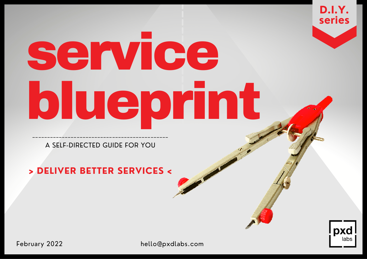# service blueprint ----------------------------------------------

**D.I.Y.**

**series**

pxd

A SELF-DIRECTED GUIDE FOR YOU

# **> DELIVER BETTER SERVICES <**

February 2022 hello@pxdlabs.com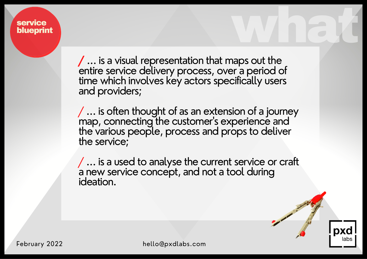**/** ... is a visual representation that maps out the entire service delivery process, over a period of time which involves key actors specifically users and providers;

whet

/ ... is often thought of as an extension of a journey map, connecting the customer ' s experience and the various people, process and props to deliver the service;

/ ... is a used to analyse the current service or craft a new service concept, and not a tool during ideation.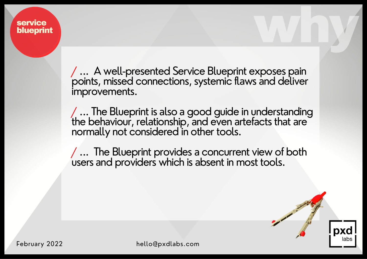> / ... A well-presented Service Blueprint exposes pain points, missed connections, systemic flaws and deliver improvements.

why

/ ... The Blueprint is also a good guide in understanding the behaviour, relationship, and even artefacts that are normally not considered in other tools.

/ ... The Blueprint provides a concurrent view of both users and providers which is absent in most tools.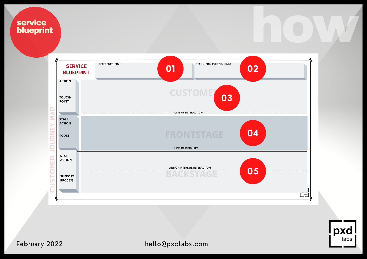

pxd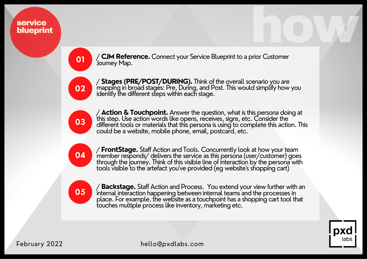**01**

/ **CJM Reference.** Connect your Service Blueprint to a prior Customer Journey Map.



/ **Stages (PRE/POST/DURING).** Think of the overall scenario you are mapping in broad stages: Pre, During, and Post. This would simplify how you identify the different steps within each stage.



/ **Action & Touchpoint.** Answer the question, what is this persona doing at this step. Use action words like opens, receives, signs, etc. Consider the different tools or materials that this persona is using to complete this action. This could be a website, mobile phone, email, postcard, etc.



/ **FrontStage.** Staff Action and Tools. Concurrently look at how your team member responds/ delivers the service as this persona (user/customer) goes through the journey. Think of this visible line of interaction by the persona with tools visible to the artefact you've provided (eg website's shopping cart)



/ **Backstage.** Staff Action and Process. You extend your view further with an internal interaction happening between internal teams and the processes in place. For example, the website as a touchpoint has a shopping cart tool that touches multiple process like inventory, marketing etc.



how